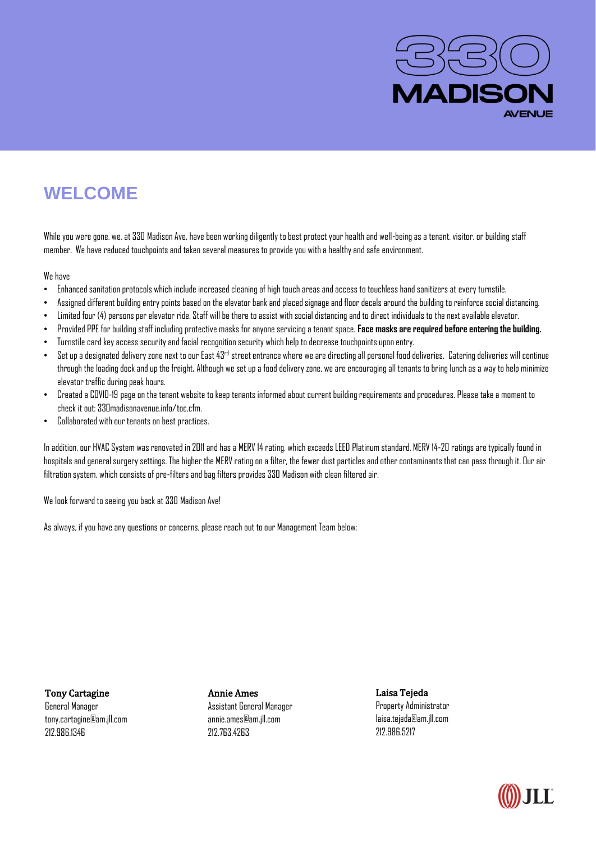

## **WELCOME**

While you were gone, we, at 330 Madison Ave, have been working diligently to best protect your health and well-being as a tenant, visitor, or building staff member. We have reduced touchpoints and taken several measures to provide you with a healthy and safe environment.

We have

- Enhanced sanitation protocols which include increased cleaning of high touch areas and access to touchless hand sanitizers at every turnstile.
- Assigned different building entry points based on the elevator bank and placed signage and floor decals around the building to reinforce social distancing.
- Limited four (4) persons per elevator ride. Staff will be there to assist with social distancing and to direct individuals to the next available elevator.
- Provided PPE for building staff including protective masks for anyone servicing a tenant space. **Face masks are required before entering the building.**
- Turnstile card key access security and facial recognition security which help to decrease touchpoints upon entry.
- $\bullet$  Set up a designated delivery zone next to our East 43rd street entrance where we are directing all personal food deliveries. Catering deliveries will continue through the loading dock and up the freight**.** Although we set up a food delivery zone, we are encouraging all tenants to bring lunch as a way to help minimize elevator traffic during peak hours.
- Created a COVID-19 page on the tenant website to keep tenants informed about current building requirements and procedures. Please take a moment to check it out: 330madisonavenue.info/toc.cfm.
- Collaborated with our tenants on best practices.

In addition, our HVAC System was renovated in 2011 and has a MERV 14 rating, which exceeds LEED Platinum standard. MERV 14-20 ratings are typically found in hospitals and general surgery settings. The higher the MERV rating on a filter, the fewer dust particles and other contaminants that can pass through it. Our air filtration system, which consists of pre-filters and bag filters provides 330 Madison with clean filtered air.

We look forward to seeing you back at 330 Madison Ave!

As always, if you have any questions or concerns, please reach out to our Management Team below:

Tony Cartagine General Manager tony.cartagine@am.jll.com 212.986.1346

Annie Ames Assistant General Manager annie.ames@am.jll.com 212.763.4263

Laisa Tejeda Property Administrator laisa.tejeda@am.jll.com 212.986.5217